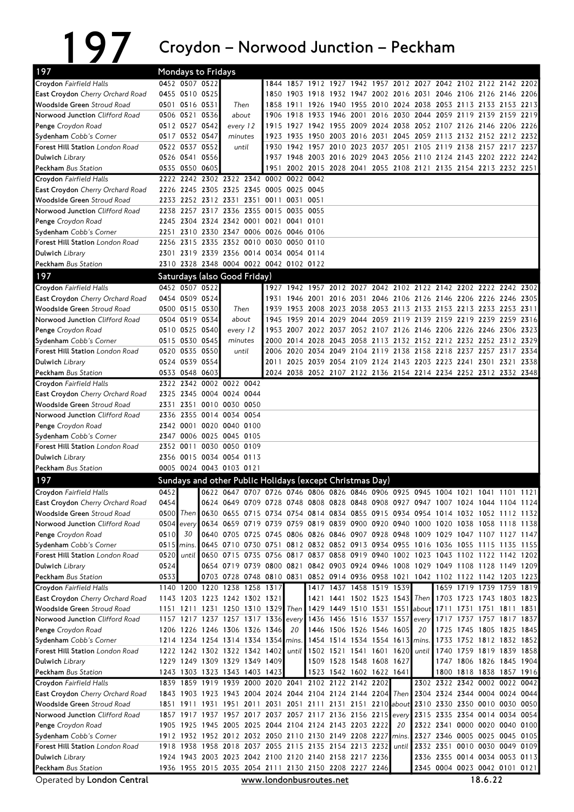197 Croydon – Norwood Junction – Peckham<br>
Mondays to Fridays

| 197                                                                | <b>Mondays to Fridays</b> |                |                                                      |          |       |                                                 |                     |           |                                                                                                                        |                     |       |                                              |      |                               |                |      |
|--------------------------------------------------------------------|---------------------------|----------------|------------------------------------------------------|----------|-------|-------------------------------------------------|---------------------|-----------|------------------------------------------------------------------------------------------------------------------------|---------------------|-------|----------------------------------------------|------|-------------------------------|----------------|------|
| Croydon Fairfield Halls                                            |                           | 0452 0507 0522 |                                                      |          |       |                                                 |                     |           | 1844 1857 1912 1927 1942 1957 2012 2027 2042 2102 2122 2142 2202                                                       |                     |       |                                              |      |                               |                |      |
| <b>East Croydon</b> Cherry Orchard Road                            |                           | 0455 0510 0525 |                                                      |          |       |                                                 |                     |           | 1850 1903 1918 1932 1947 2002 2016 2031 2046 2106 2126 2146 2206                                                       |                     |       |                                              |      |                               |                |      |
| <b>Woodside Green Stroud Road</b>                                  |                           | 0501 0516 0531 |                                                      | Then     |       |                                                 |                     |           | 1858 1911 1926 1940 1955 2010 2024 2038 2053 2113 2133 2153 2213                                                       |                     |       |                                              |      |                               |                |      |
| Norwood Junction Clifford Road                                     |                           | 0506 0521 0536 |                                                      | about    |       |                                                 | 1906 1918 1933 1946 |           |                                                                                                                        |                     |       | 2001 2016 2030 2044 2059 2119 2139 2159 2219 |      |                               |                |      |
| Penge Croydon Road                                                 |                           | 0512 0527 0542 |                                                      | every 12 |       | 1915                                            | 1927 1942 1955      |           |                                                                                                                        |                     |       | 2009 2024 2038 2052 2107 2126 2146 2206 2226 |      |                               |                |      |
| Sydenham Cobb's Corner                                             |                           | 0517 0532 0547 |                                                      | minutes  |       |                                                 | 1923 1935           |           | 1950 2003 2016 2031 2045 2059 2113 2132 2152 2212 2232                                                                 |                     |       |                                              |      |                               |                |      |
| Forest Hill Station London Road                                    |                           | 0522 0537 0552 |                                                      | until    |       |                                                 | 1930 1942 1957 2010 |           |                                                                                                                        | 2023 2037 2051 2105 |       |                                              | 2119 | 2138 2157 2217 2237           |                |      |
| Dulwich Library                                                    |                           | 0526 0541 0556 |                                                      |          |       |                                                 |                     |           | 1937 1948 2003 2016 2029 2043 2056 2110 2124 2143 2202 2222 2242                                                       |                     |       |                                              |      |                               |                |      |
| <b>Peckham</b> Bus Station                                         |                           | 0535 0550 0605 |                                                      |          |       | 1951<br>2222 2242 2302 2322 2342 0002 0022 0042 |                     |           | 2002 2015 2028 2041 2055 2108 2121 2135 2154 2213 2232 2251                                                            |                     |       |                                              |      |                               |                |      |
| Croydon Fairfield Halls<br><b>East Croydon</b> Cherry Orchard Road |                           |                |                                                      |          |       | 2226 2245 2305 2325 2345 0005 0025 0045         |                     |           |                                                                                                                        |                     |       |                                              |      |                               |                |      |
| Woodside Green Stroud Road                                         |                           |                |                                                      |          |       | 2233 2252 2312 2331 2351 0011 0031 0051         |                     |           |                                                                                                                        |                     |       |                                              |      |                               |                |      |
| Norwood Junction Clifford Road                                     |                           |                |                                                      |          |       | 2238 2257 2317 2336 2355 0015 0035 0055         |                     |           |                                                                                                                        |                     |       |                                              |      |                               |                |      |
| Penge Croydon Road                                                 |                           |                |                                                      |          |       | 2245 2304 2324 2342 0001 0021 0041 0101         |                     |           |                                                                                                                        |                     |       |                                              |      |                               |                |      |
| Sydenham Cobb's Corner                                             |                           |                |                                                      |          |       | 2251 2310 2330 2347 0006 0026 0046 0106         |                     |           |                                                                                                                        |                     |       |                                              |      |                               |                |      |
| Forest Hill Station London Road                                    |                           |                |                                                      |          |       | 2256 2315 2335 2352 0010 0030 0050 0110         |                     |           |                                                                                                                        |                     |       |                                              |      |                               |                |      |
| Dulwich Library                                                    |                           |                |                                                      |          |       | 2301 2319 2339 2356 0014 0034 0054 0114         |                     |           |                                                                                                                        |                     |       |                                              |      |                               |                |      |
| Peckham Bus Station                                                |                           |                |                                                      |          |       | 2310 2328 2348 0004 0022 0042 0102 0122         |                     |           |                                                                                                                        |                     |       |                                              |      |                               |                |      |
| 197                                                                |                           |                | Saturdays (also Good Friday)                         |          |       |                                                 |                     |           |                                                                                                                        |                     |       |                                              |      |                               |                |      |
| Croydon Fairfield Halls                                            |                           | 0452 0507 0522 |                                                      |          |       |                                                 |                     |           | 1927 1942 1957 2012 2027 2042 2102 2122 2142 2202 2222 2242 2302                                                       |                     |       |                                              |      |                               |                |      |
| East Croydon Cherry Orchard Road                                   |                           | 0454 0509 0524 |                                                      |          |       | 1931                                            | 1946 2001 2016      |           |                                                                                                                        |                     |       | 2031 2046 2106 2126 2146 2206 2226 2246 2305 |      |                               |                |      |
| Woodside Green Stroud Road                                         |                           | 0500 0515 0530 |                                                      |          | Then  | 1939                                            |                     |           | 1953 2008 2023 2038 2053 2113 2133 2153 2213 2233 2253 2311                                                            |                     |       |                                              |      |                               |                |      |
| Norwood Junction Clifford Road                                     |                           | 0504 0519 0534 |                                                      |          | about | 1945                                            | 1959                | 2014 2029 |                                                                                                                        |                     |       | 2044 2059 2119 2139 2159 2219 2239 2259 2316 |      |                               |                |      |
| Penge Croydon Road                                                 |                           | 0510 0525 0540 |                                                      | every 12 |       |                                                 |                     |           | 1953 2007 2022 2037 2052 2107 2126 2146 2206 2226 2246 2306 2323                                                       |                     |       |                                              |      |                               |                |      |
| Sydenham Cobb's Corner                                             |                           | 0515 0530 0545 |                                                      | minutes  |       |                                                 |                     |           | 2000 2014 2028 2043 2058 2113 2132 2152 2212 2232 2252 2312 2329                                                       |                     |       |                                              |      |                               |                |      |
| <b>Forest Hill Station</b> London Road                             |                           | 0520 0535 0550 |                                                      |          | until |                                                 |                     |           | 2006 2020 2034 2049 2104 2119 2138 2158 2218 2237 2257 2317 2334                                                       |                     |       |                                              |      |                               |                |      |
| Dulwich Library                                                    |                           | 0524 0539 0554 |                                                      |          |       | 2011                                            |                     |           | 2025 2039 2054 2109 2124 2143 2203 2223 2241 2301 2321 2338                                                            |                     |       |                                              |      |                               |                |      |
| <b>Peckham</b> Bus Station                                         |                           | 0533 0548 0603 |                                                      |          |       |                                                 |                     |           | 2024 2038 2052 2107 2122 2136 2154 2214 2234 2252 2312 2332 2348                                                       |                     |       |                                              |      |                               |                |      |
| Croydon Fairfield Halls<br>East Croydon Cherry Orchard Road        |                           |                | 2322 2342 0002 0022 0042<br>2325 2345 0004 0024 0044 |          |       |                                                 |                     |           |                                                                                                                        |                     |       |                                              |      |                               |                |      |
| Woodside Green Stroud Road                                         |                           |                | 2331 2351 0010 0030 0050                             |          |       |                                                 |                     |           |                                                                                                                        |                     |       |                                              |      |                               |                |      |
| Norwood Junction Clifford Road                                     |                           |                | 2336 2355 0014 0034 0054                             |          |       |                                                 |                     |           |                                                                                                                        |                     |       |                                              |      |                               |                |      |
| Penge Croydon Road                                                 |                           |                | 2342 0001 0020 0040 0100                             |          |       |                                                 |                     |           |                                                                                                                        |                     |       |                                              |      |                               |                |      |
| Sydenham Cobb's Corner                                             |                           |                | 2347 0006 0025 0045 0105                             |          |       |                                                 |                     |           |                                                                                                                        |                     |       |                                              |      |                               |                |      |
| <b>Forest Hill Station</b> London Road                             |                           |                | 2352 0011 0030 0050 0109                             |          |       |                                                 |                     |           |                                                                                                                        |                     |       |                                              |      |                               |                |      |
| Dulwich Library                                                    |                           |                | 2356 0015 0034 0054 0113                             |          |       |                                                 |                     |           |                                                                                                                        |                     |       |                                              |      |                               |                |      |
| Peckham Bus Station                                                |                           |                | 0005 0024 0043 0103 0121                             |          |       |                                                 |                     |           |                                                                                                                        |                     |       |                                              |      |                               |                |      |
| 197                                                                |                           |                |                                                      |          |       |                                                 |                     |           | Sundays and other Public Holidays (except Christmas Day)                                                               |                     |       |                                              |      |                               |                |      |
| Croydon Fairfield Halls                                            | 0452                      |                |                                                      |          |       |                                                 |                     |           | 0622 0647 0707 0726 0746 0806 0826 0846 0906 0925 0945 1004 1021 1041 1101 1121                                        |                     |       |                                              |      |                               |                |      |
| East Croydon Cherry Orchard Road                                   | 0454                      |                |                                                      |          |       |                                                 |                     |           | 0624 0649 0709 0728 0748 0808 0828 0848 0908 0927 0947 1007 1024 1044 1104 1124                                        |                     |       |                                              |      |                               |                |      |
| Woodside Green Stroud Road                                         |                           | $0500$ Then    |                                                      |          |       |                                                 |                     |           | 0630 0655 0715 0734 0754 0814 0834 0855 0915 0934 0954 1014 1032 1052 1112 1132                                        |                     |       |                                              |      |                               |                |      |
| Norwood Junction Clifford Road                                     |                           | $0504$ every   |                                                      |          |       |                                                 |                     |           | 0634 0659 0719 0739 0759 0819 0839 0900 0920 0940 1000 1020 1038 1058 1118 1138                                        |                     |       |                                              |      |                               |                |      |
| Penge Croydon Road                                                 | 0510                      | 30             |                                                      |          |       |                                                 |                     |           | 0640 0705 0725 0745 0806 0826 0846 0907 0928 0948 1009 1029 1047 1107 1127 1147                                        |                     |       |                                              |      |                               |                |      |
| Sydenham Cobb's Corner                                             | $0515$ mins.              |                |                                                      |          |       |                                                 |                     |           | 0645 0710 0730 0751 0812 0832 0852 0913 0934 0955 1016 1036 1055 1115 1135 1155                                        |                     |       |                                              |      |                               |                |      |
| Forest Hill Station London Road                                    | 05201                     | until          |                                                      |          |       |                                                 |                     |           | 0650 0715 0735 0756 0817 0837 0858 0919 0940 1002 1023 1043 1102 1122 1142 1202                                        |                     |       |                                              |      |                               |                |      |
| Dulwich Library                                                    | 0524                      |                |                                                      |          |       |                                                 |                     |           | 0654 0719 0739 0800 0821 0842 0903 0924 0946 1008 1029 1049 1108 1128 1149 1209                                        |                     |       |                                              |      |                               |                |      |
| Peckham Bus Station                                                | 0533                      |                | 1140 1200 1220 1238 1258 1317                        |          |       |                                                 |                     |           | 0703 0728 0748 0810 0831 0852 0914 0936 0958 1021 1042 1102 1122 1142 1203 1223<br>1417 1437 1458 1519 1539            |                     |       |                                              |      | 1659 1719 1739 1759 1819      |                |      |
| Croydon Fairfield Halls<br>East Croydon Cherry Orchard Road        |                           |                | 1143 1203 1223 1242 1302 1321                        |          |       |                                                 |                     |           | 1421 1441 1502 1523 1543 Then 1703 1723 1743 1803 1823                                                                 |                     |       |                                              |      |                               |                |      |
| Woodside Green Stroud Road                                         |                           |                |                                                      |          |       |                                                 |                     |           | 1151 1211 1231 1250 1310 1329 Then 1429 1449 1510 1531 1551 about 1711                                                 |                     |       |                                              |      |                               | 1731 1751 1811 | 1831 |
| Norwood Junction Clifford Road                                     |                           |                |                                                      |          |       | 1157 1217 1237 1257 1317 1336                   | every               |           | 1436 1456 1516 1537 1557                                                                                               |                     |       | every                                        |      | 1717 1737 1757 1817 1837      |                |      |
| Penge Croydon Road                                                 |                           |                | 1206 1226 1246 1306 1326 1346                        |          |       |                                                 | 20                  |           | 1446 1506 1526 1546 1605                                                                                               |                     |       | 20                                           |      | 1725 1745 1805 1825 1845      |                |      |
| Sydenham Cobb's Corner                                             |                           |                |                                                      |          |       | 1214 1234 1254 1314 1334 1354 mins.             |                     |           | 1454 1514 1534 1554 1613                                                                                               |                     |       | mins.                                        |      | 1733 1752 1812 1832 1852      |                |      |
| Forest Hill Station London Road                                    |                           |                |                                                      |          |       | 1222 1242 1302 1322 1342 1402                   | until               |           | 1502 1521 1541 1601 1620 until 1740 1759 1819 1839 1858                                                                |                     |       |                                              |      |                               |                |      |
| Dulwich Library                                                    |                           |                | 1229 1249 1309 1329 1349 1409                        |          |       |                                                 |                     |           | 1509 1528 1548 1608 1627                                                                                               |                     |       |                                              |      | 1747 1806 1826 1845 1904      |                |      |
| <b>Peckham</b> Bus Station                                         |                           |                | 1243 1303 1323 1343 1403 1423                        |          |       |                                                 |                     |           | 1523 1542 1602 1622 1641                                                                                               |                     |       |                                              |      | 1800 1818 1838 1857 1916      |                |      |
| Croydon Fairfield Halls                                            |                           |                |                                                      |          |       |                                                 |                     |           | 1839 1859 1919 1939 2000 2020 2041 2102 2122 2142 2202                                                                 |                     |       |                                              |      | 2302 2322 2342 0002 0022 0042 |                |      |
| East Croydon Cherry Orchard Road                                   |                           |                |                                                      |          |       |                                                 |                     |           | 1843 1903 1923 1943 2004 2024 2044 2104 2124 2144 2204 Then                                                            |                     |       | 2304 2324 2344 0004 0024 0044                |      |                               |                |      |
| Woodside Green Stroud Road                                         |                           |                |                                                      |          |       |                                                 |                     |           | 1851 1911 1931 1951 2011 2031 2051 2111 2131 2151 2210 about 2310 2330 2350 0010 0030 0050                             |                     |       |                                              |      |                               |                |      |
| Norwood Junction Clifford Road                                     |                           |                |                                                      |          |       |                                                 |                     |           | 1857 1917 1937 1957 2017 2037 2057 2117 2136 2156 2215 every                                                           |                     |       | 2315 2335 2354 0014 0034 0054                |      |                               |                |      |
| Penge Croydon Road                                                 |                           |                |                                                      |          |       |                                                 |                     |           | 1905 1925 1945 2005 2025 2044 2104 2124 2143 2203 2222<br>1912 1932 1952 2012 2032 2050 2110 2130 2149 2208 2227 mins. |                     | 20    | 2327 2346 0005 0025 0045 0105                |      | 2322 2341 0000 0020 0040 0100 |                |      |
| Sydenham Cobb's Corner<br>Forest Hill Station London Road          |                           |                |                                                      |          |       |                                                 |                     |           | 1918 1938 1958 2018 2037 2055 2115 2135 2154 2213 2232                                                                 |                     | until |                                              |      | 2332 2351 0010 0030 0049 0109 |                |      |
| Dulwich Library                                                    |                           |                |                                                      |          |       |                                                 |                     |           | 1924 1943 2003 2023 2042 2100 2120 2140 2158 2217 2236                                                                 |                     |       |                                              |      | 2336 2355 0014 0034 0053 0113 |                |      |
|                                                                    |                           |                |                                                      |          |       |                                                 |                     |           |                                                                                                                        |                     |       |                                              |      |                               |                |      |
| Peckham Bus Station                                                |                           |                |                                                      |          |       |                                                 |                     |           | 1936 1955 2015 2035 2054 2111 2130 2150 2208 2227 2246                                                                 |                     |       |                                              |      | 2345 0004 0023 0042 0101 0121 |                |      |